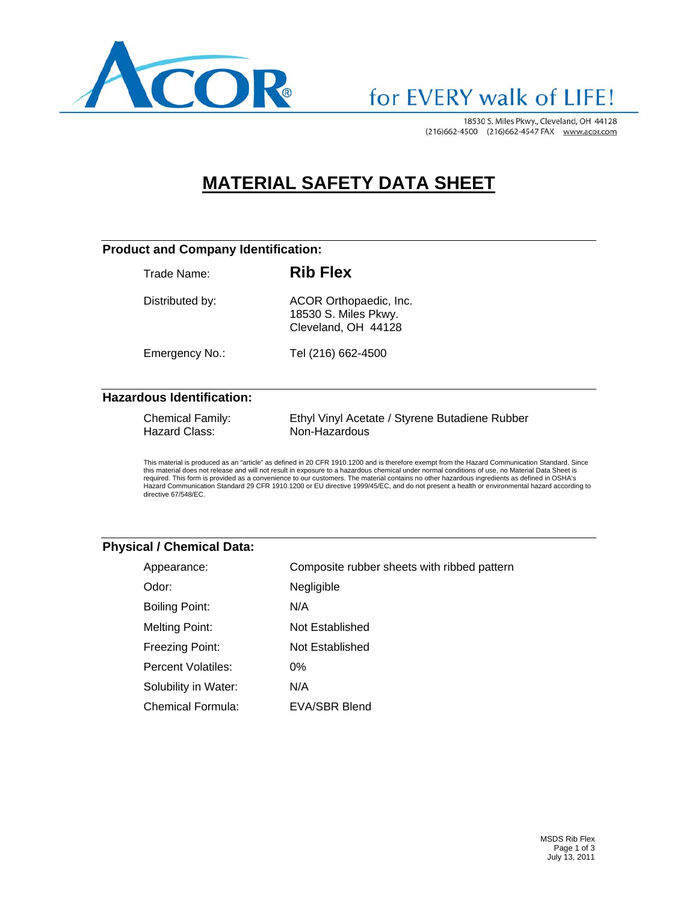

### for EVERY walk of LIFE!

18530 S. Miles Pkwy., Cleveland, OH 44128 (216)662-4500 (216)662-4547 FAX www.acor.com

### **MATERIAL SAFETY DATA SHEET**

#### **Product and Company Identification:**

Trade Name: **Rib Flex** 

Distributed by: ACOR Orthopaedic, Inc. 18530 S. Miles Pkwy. Cleveland, OH 44128

Emergency No.: Tel (216) 662-4500

#### **Hazardous Identification:**

| <b>Chemical Family:</b> | Ethyl Vinyl Acetate / Styrene Butadiene Rubber |
|-------------------------|------------------------------------------------|
| Hazard Class:           | Non-Hazardous                                  |

This material is produced as an "article" as defined in 20 CFR 1910.1200 and is therefore exempt from the Hazard Communication Standard. Since<br>this material does not release and will not result in exposure to a hazardous c required. This form is provided as a convenience to our customers. The material contains no other hazardous ingredients as defined in OSHA's Hazard Communication Standard 29 CFR 1910.1200 or EU directive 1999/45/EC, and do not present a health or environmental hazard according to directive 67/548/EC.

#### **Physical / Chemical Data:**

| Appearance:              | Composite rubber sheets with ribbed pattern |
|--------------------------|---------------------------------------------|
| Odor:                    | Negligible                                  |
| <b>Boiling Point:</b>    | N/A                                         |
| <b>Melting Point:</b>    | Not Established                             |
| Freezing Point:          | Not Established                             |
| Percent Volatiles:       | $0\%$                                       |
| Solubility in Water:     | N/A                                         |
| <b>Chemical Formula:</b> | EVA/SBR Blend                               |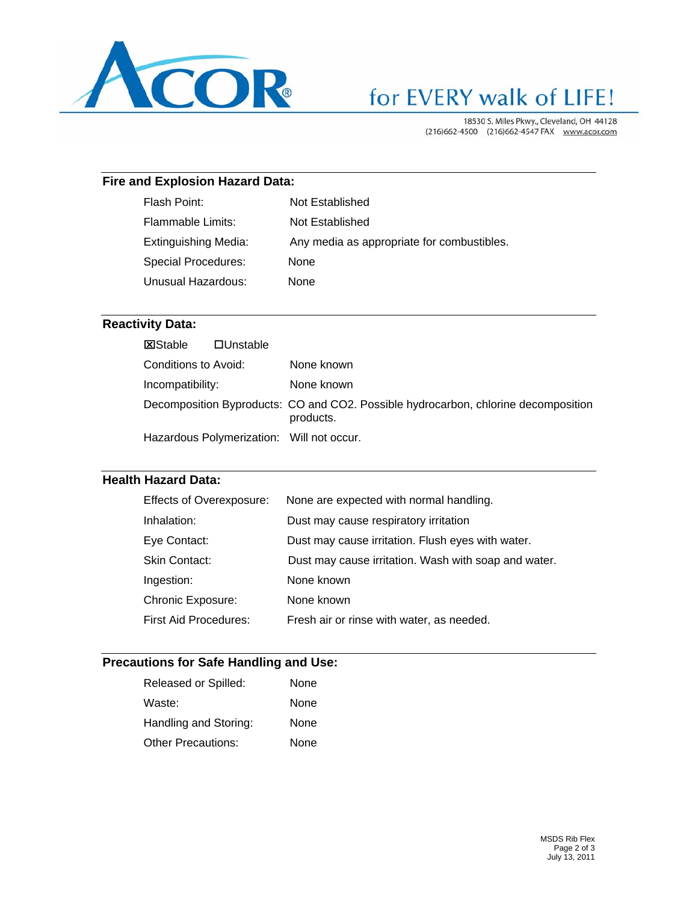

# for EVERY walk of LIFE!

18530 S. Miles Pkwy., Cleveland, OH 44128 (216)662-4500 (216)662-4547 FAX www.acor.com

#### **Fire and Explosion Hazard Data:**

| Flash Point:                | Not Established                            |
|-----------------------------|--------------------------------------------|
| Flammable Limits:           | Not Established                            |
| <b>Extinguishing Media:</b> | Any media as appropriate for combustibles. |
| Special Procedures:         | <b>None</b>                                |
| Unusual Hazardous:          | None                                       |
|                             |                                            |

#### **Reactivity Data:**

| <b>X</b> Stable      | $\Box$ Unstable |                                                                                                 |
|----------------------|-----------------|-------------------------------------------------------------------------------------------------|
| Conditions to Avoid: |                 | None known                                                                                      |
| Incompatibility:     |                 | None known                                                                                      |
|                      |                 | Decomposition Byproducts: CO and CO2. Possible hydrocarbon, chlorine decomposition<br>products. |
|                      |                 | Hazardous Polymerization: Will not occur.                                                       |

#### **Health Hazard Data:**

| <b>Effects of Overexposure:</b> | None are expected with normal handling.              |
|---------------------------------|------------------------------------------------------|
| Inhalation:                     | Dust may cause respiratory irritation                |
| Eye Contact:                    | Dust may cause irritation. Flush eyes with water.    |
| Skin Contact:                   | Dust may cause irritation. Wash with soap and water. |
| Ingestion:                      | None known                                           |
| <b>Chronic Exposure:</b>        | None known                                           |
| <b>First Aid Procedures:</b>    | Fresh air or rinse with water, as needed.            |

#### **Precautions for Safe Handling and Use:**

| Released or Spilled:      | None |
|---------------------------|------|
| Waste:                    | None |
| Handling and Storing:     | None |
| <b>Other Precautions:</b> | None |